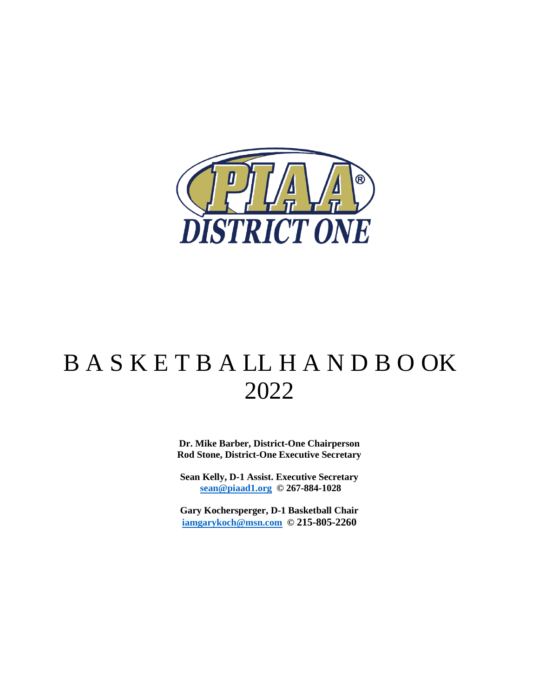

# B A S K E T B A LL H A N D B O OK 2022

**Dr. Mike Barber, District-One Chairperson Rod Stone, District-One Executive Secretary**

**Sean Kelly, D-1 Assist. Executive Secretary [sean@piaad1.org](mailto:sean@piaad1.org) © 267-884-1028**

**Gary Kochersperger, D-1 Basketball Chair [iamgarykoch@msn.com](mailto:iamgarykoch@msn.com) © 215-805-2260**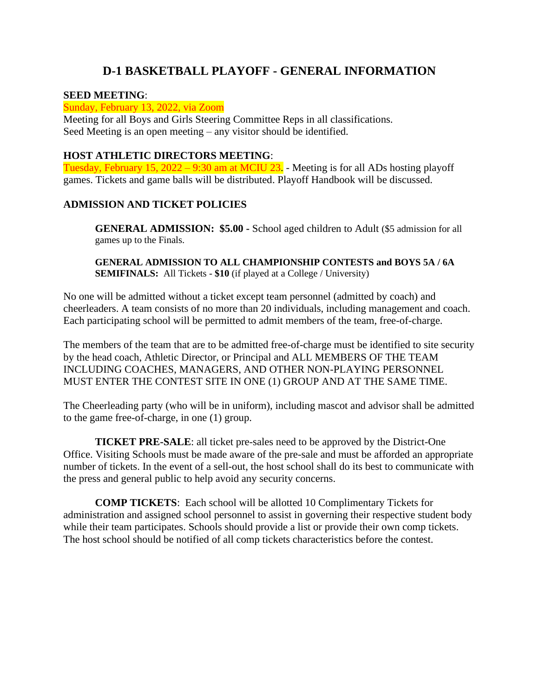# **D-1 BASKETBALL PLAYOFF - GENERAL INFORMATION**

#### **SEED MEETING**:

Sunday, February 13, 2022, via Zoom

Meeting for all Boys and Girls Steering Committee Reps in all classifications. Seed Meeting is an open meeting – any visitor should be identified.

#### **HOST ATHLETIC DIRECTORS MEETING**:

Tuesday, February 15, 2022 – 9:30 am at MCIU 23. - Meeting is for all ADs hosting playoff games. Tickets and game balls will be distributed. Playoff Handbook will be discussed.

#### **ADMISSION AND TICKET POLICIES**

**GENERAL ADMISSION: \$5.00 -** School aged children to Adult (\$5 admission for all games up to the Finals.

**GENERAL ADMISSION TO ALL CHAMPIONSHIP CONTESTS and BOYS 5A / 6A SEMIFINALS:** All Tickets - \$10 (if played at a College / University)

No one will be admitted without a ticket except team personnel (admitted by coach) and cheerleaders. A team consists of no more than 20 individuals, including management and coach. Each participating school will be permitted to admit members of the team, free-of-charge.

The members of the team that are to be admitted free-of-charge must be identified to site security by the head coach, Athletic Director, or Principal and ALL MEMBERS OF THE TEAM INCLUDING COACHES, MANAGERS, AND OTHER NON-PLAYING PERSONNEL MUST ENTER THE CONTEST SITE IN ONE (1) GROUP AND AT THE SAME TIME.

The Cheerleading party (who will be in uniform), including mascot and advisor shall be admitted to the game free-of-charge, in one (1) group.

**TICKET PRE-SALE**: all ticket pre-sales need to be approved by the District-One Office. Visiting Schools must be made aware of the pre-sale and must be afforded an appropriate number of tickets. In the event of a sell-out, the host school shall do its best to communicate with the press and general public to help avoid any security concerns.

**COMP TICKETS**: Each school will be allotted 10 Complimentary Tickets for administration and assigned school personnel to assist in governing their respective student body while their team participates. Schools should provide a list or provide their own comp tickets. The host school should be notified of all comp tickets characteristics before the contest.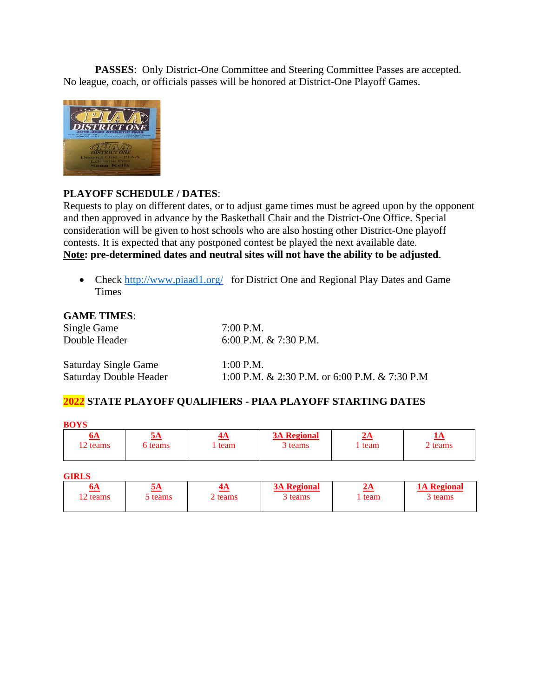PASSES: Only District-One Committee and Steering Committee Passes are accepted. No league, coach, or officials passes will be honored at District-One Playoff Games.



#### **PLAYOFF SCHEDULE / DATES**:

Requests to play on different dates, or to adjust game times must be agreed upon by the opponent and then approved in advance by the Basketball Chair and the District-One Office. Special consideration will be given to host schools who are also hosting other District-One playoff contests. It is expected that any postponed contest be played the next available date. **Note: pre-determined dates and neutral sites will not have the ability to be adjusted**.

• Check<http://www.piaad1.org/>for District One and Regional Play Dates and Game Times

| <b>GAME TIMES:</b>          |                                               |
|-----------------------------|-----------------------------------------------|
| Single Game                 | $7:00$ P.M.                                   |
| Double Header               | 6:00 P.M. & 7:30 P.M.                         |
| <b>Saturday Single Game</b> | $1:00$ P.M.                                   |
| Saturday Double Header      | 1:00 P.M. & 2:30 P.M. or 6:00 P.M. & 7:30 P.M |

## **2022 STATE PLAYOFF QUALIFIERS - PIAA PLAYOFF STARTING DATES**

| <b>BOYS</b>           |                                             |                      |                               |                     |                               |
|-----------------------|---------------------------------------------|----------------------|-------------------------------|---------------------|-------------------------------|
| <u>6A</u><br>12 teams | <u>5А</u><br><u>4А</u><br>6 teams<br>1 team |                      | <b>3A Regional</b><br>3 teams | <u>2A</u><br>1 team | <u>ід</u><br>2 teams          |
| <b>GIRLS</b>          |                                             |                      |                               |                     |                               |
| <u>6A</u><br>12 teams | 5A<br>5 teams                               | <u>4А</u><br>2 teams | <b>3A Regional</b><br>3 teams | 2A<br>1 team        | <b>1A Regional</b><br>3 teams |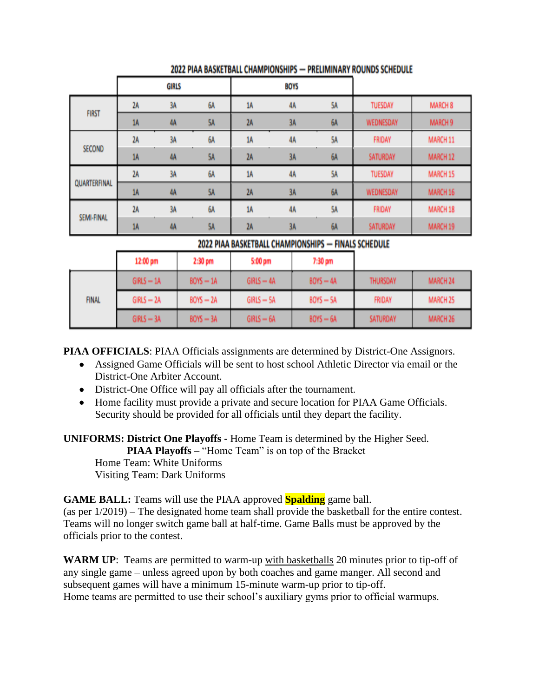|                   |    | <b>GIRLS</b> |    |    | <b>BOYS</b> |    |               |                |
|-------------------|----|--------------|----|----|-------------|----|---------------|----------------|
| <b>FIRST</b>      | 2A | 3A           | 6A | 1A | 4A          | 5A | TUESDAY       | <b>MARCH 8</b> |
|                   | 1A | 4A           | 5A | 2A | 3A          | 6A | WEDNESDAY     | MARCH 9        |
| <b>SECOND</b>     | 2A | 3A           | 6A | 1A | 4A          | 5A | FRIDAY        | MARCH 11       |
|                   | 1A | 4A           | 5A | 2A | 3A          | 6A | SATURDAY      | MARCH 12       |
| QUARTERFINAL      | 2A | 3A           | 6A | 1A | 4A          | 5A | TUESDAY       | MARCH 15       |
|                   | 1A | 4A           | 5A | 2A | 3A          | 6A | WEDNESDAY     | MARCH 16       |
| <b>SEMI-FINAL</b> | 2A | 3A           | 6A | 1A | 4A          | 5A | <b>FRIDAY</b> | MARCH 18       |
|                   | 1A | 4A           | 5A | 2A | 3A          | 6A | SATURDAY      | MARCH 19       |

#### 2022 PIAA BASKETBALL CHAMPIONSHIPS - PRELIMINARY ROUNDS SCHEDULE

#### 2022 PIAA BASKETBALL CHAMPIONSHIPS - FINALS SCHEDULE

|              | 12:00 pm     | 2:30 pm     | 5:00 pm      | 7:30 pm     |               |                 |
|--------------|--------------|-------------|--------------|-------------|---------------|-----------------|
|              | $GIRLS - 1A$ | $BOYS - 1A$ | $GIRLS - 4A$ | $BOYS - 4A$ | THURSDAY      | MARCH 24        |
| <b>FINAL</b> | $GIRLS - 2A$ | $BOYS - 2A$ | $GIRLS - 5A$ | $BOYS - SA$ | <b>FRIDAY</b> | <b>MARCH 25</b> |
|              | $GIRLS - 3A$ | $BOYS - 3A$ | $GIRLS - 6A$ | $BOYS - 6A$ | SATURDAY      | MARCH 26        |

**PIAA OFFICIALS:** PIAA Officials assignments are determined by District-One Assignors.

- Assigned Game Officials will be sent to host school Athletic Director via email or the District-One Arbiter Account.
- District-One Office will pay all officials after the tournament.
- Home facility must provide a private and secure location for PIAA Game Officials. Security should be provided for all officials until they depart the facility.

**UNIFORMS: District One Playoffs -** Home Team is determined by the Higher Seed.

**PIAA Playoffs** – "Home Team" is on top of the Bracket

Home Team: White Uniforms Visiting Team: Dark Uniforms

**GAME BALL:** Teams will use the PIAA approved **Spalding** game ball.

(as per 1/2019) – The designated home team shall provide the basketball for the entire contest. Teams will no longer switch game ball at half-time. Game Balls must be approved by the officials prior to the contest.

**WARM UP**: Teams are permitted to warm-up with basketballs 20 minutes prior to tip-off of any single game – unless agreed upon by both coaches and game manger. All second and subsequent games will have a minimum 15-minute warm-up prior to tip-off. Home teams are permitted to use their school's auxiliary gyms prior to official warmups.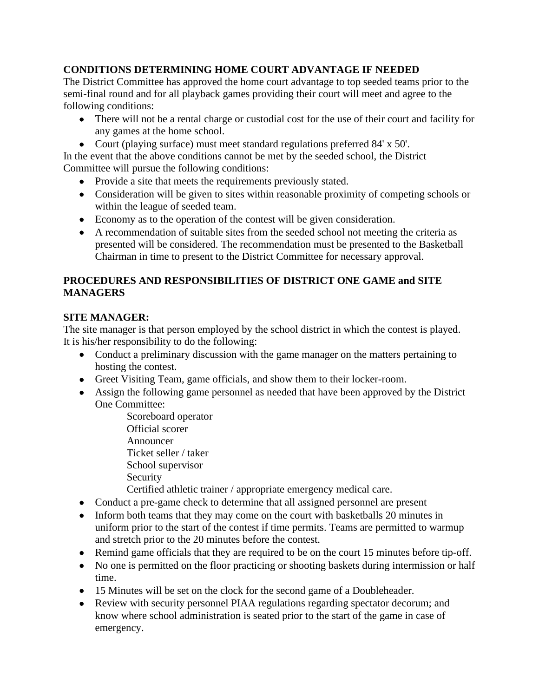## **CONDITIONS DETERMINING HOME COURT ADVANTAGE IF NEEDED**

The District Committee has approved the home court advantage to top seeded teams prior to the semi-final round and for all playback games providing their court will meet and agree to the following conditions:

- There will not be a rental charge or custodial cost for the use of their court and facility for any games at the home school.
- Court (playing surface) must meet standard regulations preferred 84' x 50'.

In the event that the above conditions cannot be met by the seeded school, the District Committee will pursue the following conditions:

- Provide a site that meets the requirements previously stated.
- Consideration will be given to sites within reasonable proximity of competing schools or within the league of seeded team.
- Economy as to the operation of the contest will be given consideration.
- A recommendation of suitable sites from the seeded school not meeting the criteria as presented will be considered. The recommendation must be presented to the Basketball Chairman in time to present to the District Committee for necessary approval.

## **PROCEDURES AND RESPONSIBILITIES OF DISTRICT ONE GAME and SITE MANAGERS**

# **SITE MANAGER:**

The site manager is that person employed by the school district in which the contest is played. It is his/her responsibility to do the following:

- Conduct a preliminary discussion with the game manager on the matters pertaining to hosting the contest.
- Greet Visiting Team, game officials, and show them to their locker-room.
- Assign the following game personnel as needed that have been approved by the District One Committee:
	- Scoreboard operator Official scorer Announcer Ticket seller / taker School supervisor Security
	- Certified athletic trainer / appropriate emergency medical care.
- Conduct a pre-game check to determine that all assigned personnel are present
- Inform both teams that they may come on the court with basketballs 20 minutes in uniform prior to the start of the contest if time permits. Teams are permitted to warmup and stretch prior to the 20 minutes before the contest.
- Remind game officials that they are required to be on the court 15 minutes before tip-off.
- No one is permitted on the floor practicing or shooting baskets during intermission or half time.
- 15 Minutes will be set on the clock for the second game of a Doubleheader.
- Review with security personnel PIAA regulations regarding spectator decorum; and know where school administration is seated prior to the start of the game in case of emergency.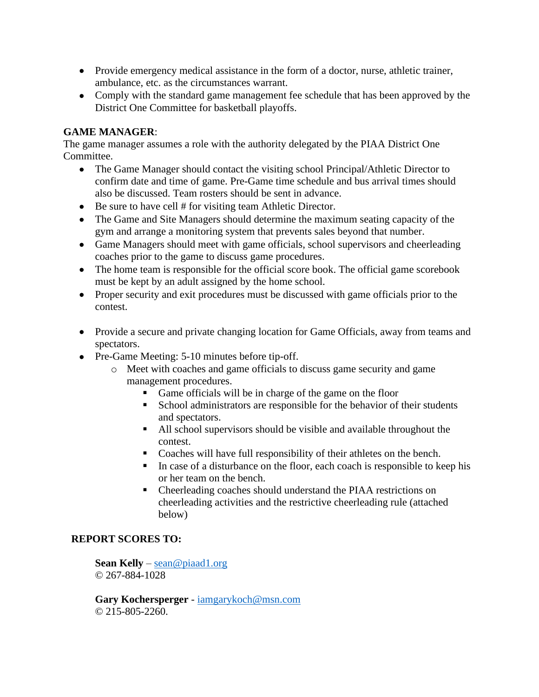- Provide emergency medical assistance in the form of a doctor, nurse, athletic trainer, ambulance, etc. as the circumstances warrant.
- Comply with the standard game management fee schedule that has been approved by the District One Committee for basketball playoffs.

#### **GAME MANAGER**:

The game manager assumes a role with the authority delegated by the PIAA District One Committee.

- The Game Manager should contact the visiting school Principal/Athletic Director to confirm date and time of game. Pre-Game time schedule and bus arrival times should also be discussed. Team rosters should be sent in advance.
- Be sure to have cell # for visiting team Athletic Director.
- The Game and Site Managers should determine the maximum seating capacity of the gym and arrange a monitoring system that prevents sales beyond that number.
- Game Managers should meet with game officials, school supervisors and cheerleading coaches prior to the game to discuss game procedures.
- The home team is responsible for the official score book. The official game scorebook must be kept by an adult assigned by the home school.
- Proper security and exit procedures must be discussed with game officials prior to the contest.
- Provide a secure and private changing location for Game Officials, away from teams and spectators.
- Pre-Game Meeting: 5-10 minutes before tip-off.
	- o Meet with coaches and game officials to discuss game security and game management procedures.
		- Game officials will be in charge of the game on the floor
		- School administrators are responsible for the behavior of their students and spectators.
		- All school supervisors should be visible and available throughout the contest.
		- Coaches will have full responsibility of their athletes on the bench.
		- In case of a disturbance on the floor, each coach is responsible to keep his or her team on the bench.
		- Cheerleading coaches should understand the PIAA restrictions on cheerleading activities and the restrictive cheerleading rule (attached below)

#### **REPORT SCORES TO:**

**Sean Kelly** – [sean@piaad1.org](mailto:sean@piaad1.org) © 267-884-1028

**Gary Kochersperger** - [iamgarykoch@msn.com](mailto:iamgarykoch@msn.com) © 215-805-2260.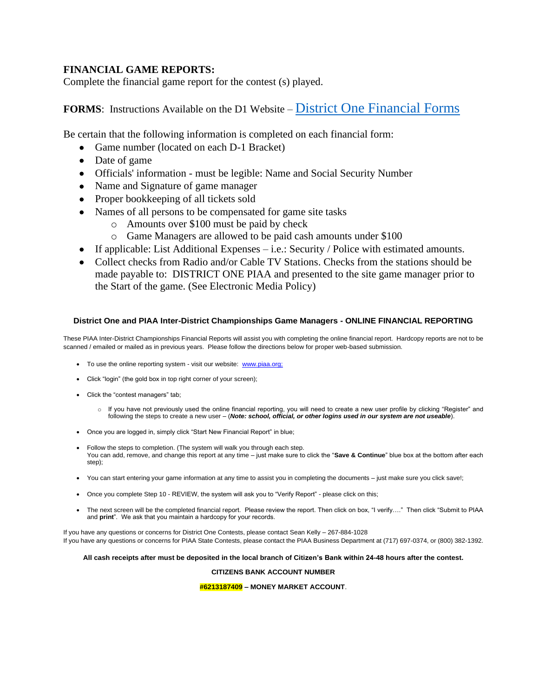#### **FINANCIAL GAME REPORTS:**

Complete the financial game report for the contest (s) played.

**FORMS**: Instructions Available on the D1 Website – [District One Financial Forms](http://www.piaad1.org/assets/Uploads/100-CONTEST-FINANCIAL-REPORT-FULL-SET-TICKETS-SOLD2.pdf)

Be certain that the following information is completed on each financial form:

- Game number (located on each D-1 Bracket)
- Date of game
- Officials' information must be legible: Name and Social Security Number
- Name and Signature of game manager
- Proper bookkeeping of all tickets sold
- Names of all persons to be compensated for game site tasks
	- o Amounts over \$100 must be paid by check
	- o Game Managers are allowed to be paid cash amounts under \$100
- If applicable: List Additional Expenses i.e.: Security / Police with estimated amounts.
- Collect checks from Radio and/or Cable TV Stations. Checks from the stations should be made payable to: DISTRICT ONE PIAA and presented to the site game manager prior to the Start of the game. (See Electronic Media Policy)

#### **District One and PIAA Inter-District Championships Game Managers - ONLINE FINANCIAL REPORTING**

These PIAA Inter-District Championships Financial Reports will assist you with completing the online financial report. Hardcopy reports are not to be scanned / emailed or mailed as in previous years. Please follow the directions below for proper web-based submission.

- To use the online reporting system visit our website: www.piaa.org;
- Click "login" (the gold box in top right corner of your screen);
- Click the "contest managers" tab;
	- o If you have not previously used the online financial reporting, you will need to create a new user profile by clicking "Register" and following the steps to create a new user – (*Note: school, official, or other logins used in our system are not useable*).
- Once you are logged in, simply click "Start New Financial Report" in blue;
- Follow the steps to completion. (The system will walk you through each step. You can add, remove, and change this report at any time – just make sure to click the "**Save & Continue**" blue box at the bottom after each step);
- You can start entering your game information at any time to assist you in completing the documents just make sure you click save!;
- Once you complete Step 10 REVIEW, the system will ask you to "Verify Report" please click on this;
- The next screen will be the completed financial report. Please review the report. Then click on box, "I verify…." Then click "Submit to PIAA and **print**". We ask that you maintain a hardcopy for your records.

If you have any questions or concerns for District One Contests, please contact Sean Kelly – 267-884-1028 If you have any questions or concerns for PIAA State Contests, please contact the PIAA Business Department at (717) 697-0374, or (800) 382-1392.

#### **All cash receipts after must be deposited in the local branch of Citizen's Bank within 24-48 hours after the contest.**

#### **CITIZENS BANK ACCOUNT NUMBER**

#### **#6213187409 – MONEY MARKET ACCOUNT**.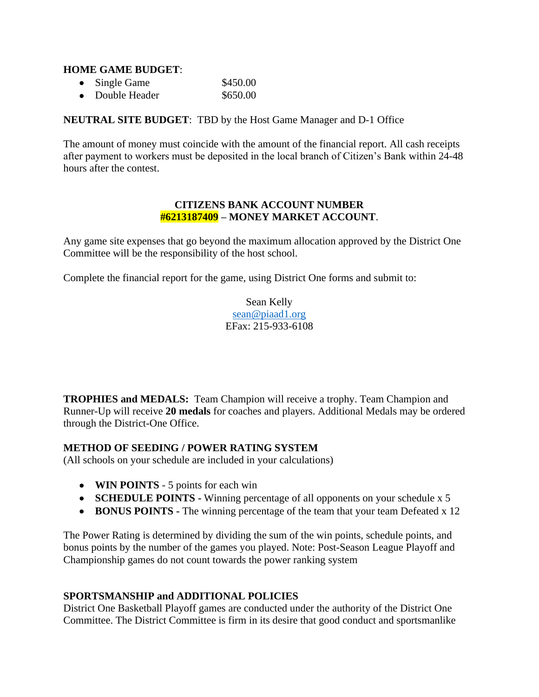#### **HOME GAME BUDGET**:

- Single Game  $$450.00$
- Double Header \$650.00

**NEUTRAL SITE BUDGET**: TBD by the Host Game Manager and D-1 Office

The amount of money must coincide with the amount of the financial report. All cash receipts after payment to workers must be deposited in the local branch of Citizen's Bank within 24-48 hours after the contest.

#### **CITIZENS BANK ACCOUNT NUMBER #6213187409 – MONEY MARKET ACCOUNT**.

Any game site expenses that go beyond the maximum allocation approved by the District One Committee will be the responsibility of the host school.

Complete the financial report for the game, using District One forms and submit to:

Sean Kelly sean@piaad1.org EFax: 215-933-6108

**TROPHIES and MEDALS:** Team Champion will receive a trophy. Team Champion and Runner-Up will receive **20 medals** for coaches and players. Additional Medals may be ordered through the District-One Office.

#### **METHOD OF SEEDING / POWER RATING SYSTEM**

(All schools on your schedule are included in your calculations)

- **WIN POINTS** 5 points for each win
- **SCHEDULE POINTS** Winning percentage of all opponents on your schedule x 5
- **BONUS POINTS** The winning percentage of the team that your team Defeated x 12

The Power Rating is determined by dividing the sum of the win points, schedule points, and bonus points by the number of the games you played. Note: Post-Season League Playoff and Championship games do not count towards the power ranking system

#### **SPORTSMANSHIP and ADDITIONAL POLICIES**

District One Basketball Playoff games are conducted under the authority of the District One Committee. The District Committee is firm in its desire that good conduct and sportsmanlike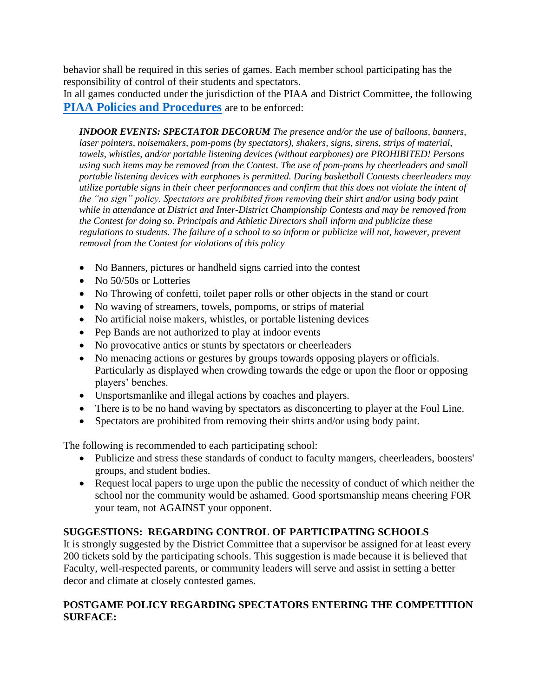behavior shall be required in this series of games. Each member school participating has the responsibility of control of their students and spectators.

In all games conducted under the jurisdiction of the PIAA and District Committee, the following **[PIAA Policies and Procedures](http://www.piaa.org/assets/web/documents/Handbook%20-%20Section%20II%20-%20Policies%20and%20Procedures.pdf)** are to be enforced:

*INDOOR EVENTS: SPECTATOR DECORUM The presence and/or the use of balloons, banners, laser pointers, noisemakers, pom-poms (by spectators), shakers, signs, sirens, strips of material, towels, whistles, and/or portable listening devices (without earphones) are PROHIBITED! Persons using such items may be removed from the Contest. The use of pom-poms by cheerleaders and small portable listening devices with earphones is permitted. During basketball Contests cheerleaders may utilize portable signs in their cheer performances and confirm that this does not violate the intent of the "no sign" policy. Spectators are prohibited from removing their shirt and/or using body paint while in attendance at District and Inter-District Championship Contests and may be removed from the Contest for doing so. Principals and Athletic Directors shall inform and publicize these regulations to students. The failure of a school to so inform or publicize will not, however, prevent removal from the Contest for violations of this policy*

- No Banners, pictures or handheld signs carried into the contest
- No 50/50s or Lotteries
- No Throwing of confetti, toilet paper rolls or other objects in the stand or court
- No waving of streamers, towels, pompoms, or strips of material
- No artificial noise makers, whistles, or portable listening devices
- Pep Bands are not authorized to play at indoor events
- No provocative antics or stunts by spectators or cheerleaders
- No menacing actions or gestures by groups towards opposing players or officials. Particularly as displayed when crowding towards the edge or upon the floor or opposing players' benches.
- Unsportsmanlike and illegal actions by coaches and players.
- There is to be no hand waving by spectators as disconcerting to player at the Foul Line.
- Spectators are prohibited from removing their shirts and/or using body paint.

The following is recommended to each participating school:

- Publicize and stress these standards of conduct to faculty mangers, cheerleaders, boosters' groups, and student bodies.
- Request local papers to urge upon the public the necessity of conduct of which neither the school nor the community would be ashamed. Good sportsmanship means cheering FOR your team, not AGAINST your opponent.

#### **SUGGESTIONS: REGARDING CONTROL OF PARTICIPATING SCHOOLS**

It is strongly suggested by the District Committee that a supervisor be assigned for at least every 200 tickets sold by the participating schools. This suggestion is made because it is believed that Faculty, well-respected parents, or community leaders will serve and assist in setting a better decor and climate at closely contested games.

#### **POSTGAME POLICY REGARDING SPECTATORS ENTERING THE COMPETITION SURFACE:**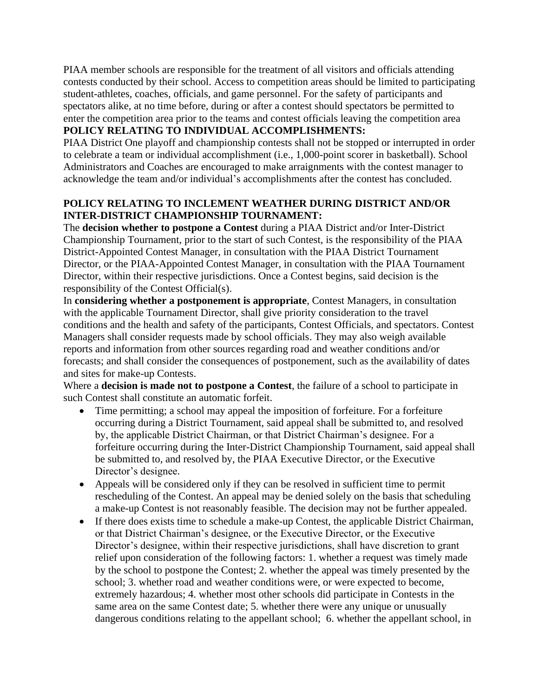PIAA member schools are responsible for the treatment of all visitors and officials attending contests conducted by their school. Access to competition areas should be limited to participating student-athletes, coaches, officials, and game personnel. For the safety of participants and spectators alike, at no time before, during or after a contest should spectators be permitted to enter the competition area prior to the teams and contest officials leaving the competition area **POLICY RELATING TO INDIVIDUAL ACCOMPLISHMENTS:**

#### PIAA District One playoff and championship contests shall not be stopped or interrupted in order to celebrate a team or individual accomplishment (i.e., 1,000-point scorer in basketball). School Administrators and Coaches are encouraged to make arraignments with the contest manager to acknowledge the team and/or individual's accomplishments after the contest has concluded.

#### **POLICY RELATING TO INCLEMENT WEATHER DURING DISTRICT AND/OR INTER-DISTRICT CHAMPIONSHIP TOURNAMENT:**

The **decision whether to postpone a Contest** during a PIAA District and/or Inter-District Championship Tournament, prior to the start of such Contest, is the responsibility of the PIAA District-Appointed Contest Manager, in consultation with the PIAA District Tournament Director, or the PIAA-Appointed Contest Manager, in consultation with the PIAA Tournament Director, within their respective jurisdictions. Once a Contest begins, said decision is the responsibility of the Contest Official(s).

In **considering whether a postponement is appropriate**, Contest Managers, in consultation with the applicable Tournament Director, shall give priority consideration to the travel conditions and the health and safety of the participants, Contest Officials, and spectators. Contest Managers shall consider requests made by school officials. They may also weigh available reports and information from other sources regarding road and weather conditions and/or forecasts; and shall consider the consequences of postponement, such as the availability of dates and sites for make-up Contests.

Where a **decision is made not to postpone a Contest**, the failure of a school to participate in such Contest shall constitute an automatic forfeit.

- Time permitting; a school may appeal the imposition of forfeiture. For a forfeiture occurring during a District Tournament, said appeal shall be submitted to, and resolved by, the applicable District Chairman, or that District Chairman's designee. For a forfeiture occurring during the Inter-District Championship Tournament, said appeal shall be submitted to, and resolved by, the PIAA Executive Director, or the Executive Director's designee.
- Appeals will be considered only if they can be resolved in sufficient time to permit rescheduling of the Contest. An appeal may be denied solely on the basis that scheduling a make-up Contest is not reasonably feasible. The decision may not be further appealed.
- If there does exists time to schedule a make-up Contest, the applicable District Chairman, or that District Chairman's designee, or the Executive Director, or the Executive Director's designee, within their respective jurisdictions, shall have discretion to grant relief upon consideration of the following factors: 1. whether a request was timely made by the school to postpone the Contest; 2. whether the appeal was timely presented by the school; 3. whether road and weather conditions were, or were expected to become, extremely hazardous; 4. whether most other schools did participate in Contests in the same area on the same Contest date; 5. whether there were any unique or unusually dangerous conditions relating to the appellant school; 6. whether the appellant school, in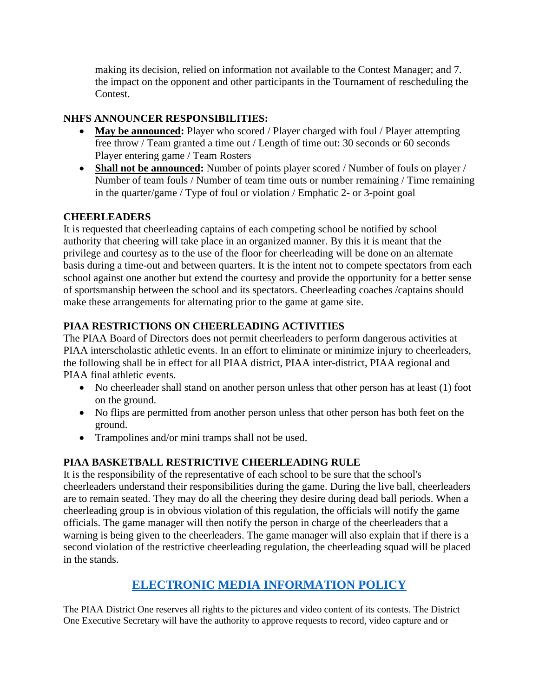making its decision, relied on information not available to the Contest Manager; and 7. the impact on the opponent and other participants in the Tournament of rescheduling the Contest.

# **NHFS ANNOUNCER RESPONSIBILITIES:**

- May be announced: Player who scored / Player charged with foul / Player attempting free throw / Team granted a time out / Length of time out: 30 seconds or 60 seconds Player entering game / Team Rosters
- **Shall not be announced:** Number of points player scored / Number of fouls on player / Number of team fouls / Number of team time outs or number remaining / Time remaining in the quarter/game / Type of foul or violation / Emphatic 2- or 3-point goal

#### **CHEERLEADERS**

It is requested that cheerleading captains of each competing school be notified by school authority that cheering will take place in an organized manner. By this it is meant that the privilege and courtesy as to the use of the floor for cheerleading will be done on an alternate basis during a time-out and between quarters. It is the intent not to compete spectators from each school against one another but extend the courtesy and provide the opportunity for a better sense of sportsmanship between the school and its spectators. Cheerleading coaches /captains should make these arrangements for alternating prior to the game at game site.

# **PIAA RESTRICTIONS ON CHEERLEADING ACTIVITIES**

The PIAA Board of Directors does not permit cheerleaders to perform dangerous activities at PIAA interscholastic athletic events. In an effort to eliminate or minimize injury to cheerleaders, the following shall be in effect for all PIAA district, PIAA inter-district, PIAA regional and PIAA final athletic events.

- No cheerleader shall stand on another person unless that other person has at least (1) foot on the ground.
- No flips are permitted from another person unless that other person has both feet on the ground.
- Trampolines and/or mini tramps shall not be used.

#### **PIAA BASKETBALL RESTRICTIVE CHEERLEADING RULE**

It is the responsibility of the representative of each school to be sure that the school's cheerleaders understand their responsibilities during the game. During the live ball, cheerleaders are to remain seated. They may do all the cheering they desire during dead ball periods. When a cheerleading group is in obvious violation of this regulation, the officials will notify the game officials. The game manager will then notify the person in charge of the cheerleaders that a warning is being given to the cheerleaders. The game manager will also explain that if there is a second violation of the restrictive cheerleading regulation, the cheerleading squad will be placed in the stands.

# **[ELECTRONIC MEDIA INFORMATION POLICY](https://www.piaad1.org/assets/Uploads/Electronic-Media-Information-Policy.pdf)**

The PIAA District One reserves all rights to the pictures and video content of its contests. The District One Executive Secretary will have the authority to approve requests to record, video capture and or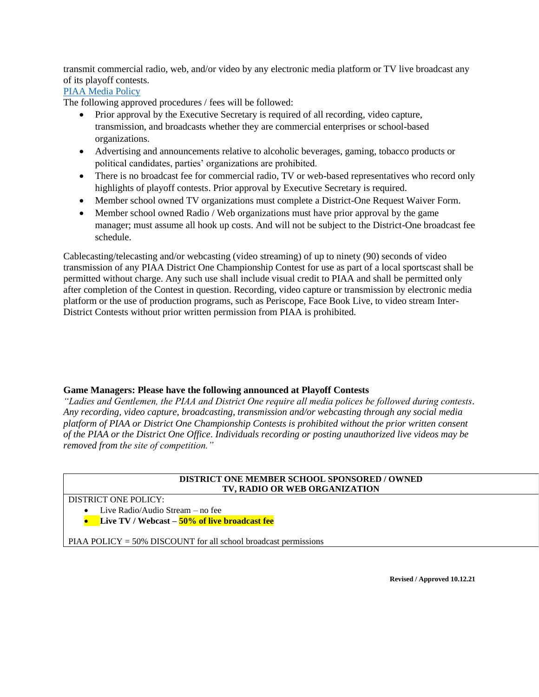transmit commercial radio, web, and/or video by any electronic media platform or TV live broadcast any of its playoff contests.

#### [PIAA Media Policy](http://www.piaa.org/assets/web/documents/Handbook%20-%20Section%20II%20-%20Policies%20and%20Procedures.pdf)

The following approved procedures / fees will be followed:

- Prior approval by the Executive Secretary is required of all recording, video capture, transmission, and broadcasts whether they are commercial enterprises or school-based organizations.
- Advertising and announcements relative to alcoholic beverages, gaming, tobacco products or political candidates, parties' organizations are prohibited.
- There is no broadcast fee for commercial radio, TV or web-based representatives who record only highlights of playoff contests. Prior approval by Executive Secretary is required.
- Member school owned TV organizations must complete a District-One Request Waiver Form.
- Member school owned Radio / Web organizations must have prior approval by the game manager; must assume all hook up costs. And will not be subject to the District-One broadcast fee schedule.

Cablecasting/telecasting and/or webcasting (video streaming) of up to ninety (90) seconds of video transmission of any PIAA District One Championship Contest for use as part of a local sportscast shall be permitted without charge. Any such use shall include visual credit to PIAA and shall be permitted only after completion of the Contest in question. Recording, video capture or transmission by electronic media platform or the use of production programs, such as Periscope, Face Book Live, to video stream Inter-District Contests without prior written permission from PIAA is prohibited.

#### **Game Managers: Please have the following announced at Playoff Contests**

*"Ladies and Gentlemen, the PIAA and District One require all media polices be followed during contests. Any recording, video capture, broadcasting, transmission and/or webcasting through any social media platform of PIAA or District One Championship Contests is prohibited without the prior written consent of the PIAA or the District One Office. Individuals recording or posting unauthorized live videos may be removed from the site of competition."*

#### **DISTRICT ONE MEMBER SCHOOL SPONSORED / OWNED TV, RADIO OR WEB ORGANIZATION**

DISTRICT ONE POLICY:

- Live Radio/Audio Stream no fee
- **Live TV / Webcast – 50% of live broadcast fee**

PIAA POLICY = 50% DISCOUNT for all school broadcast permissions

**Revised / Approved 10.12.21**